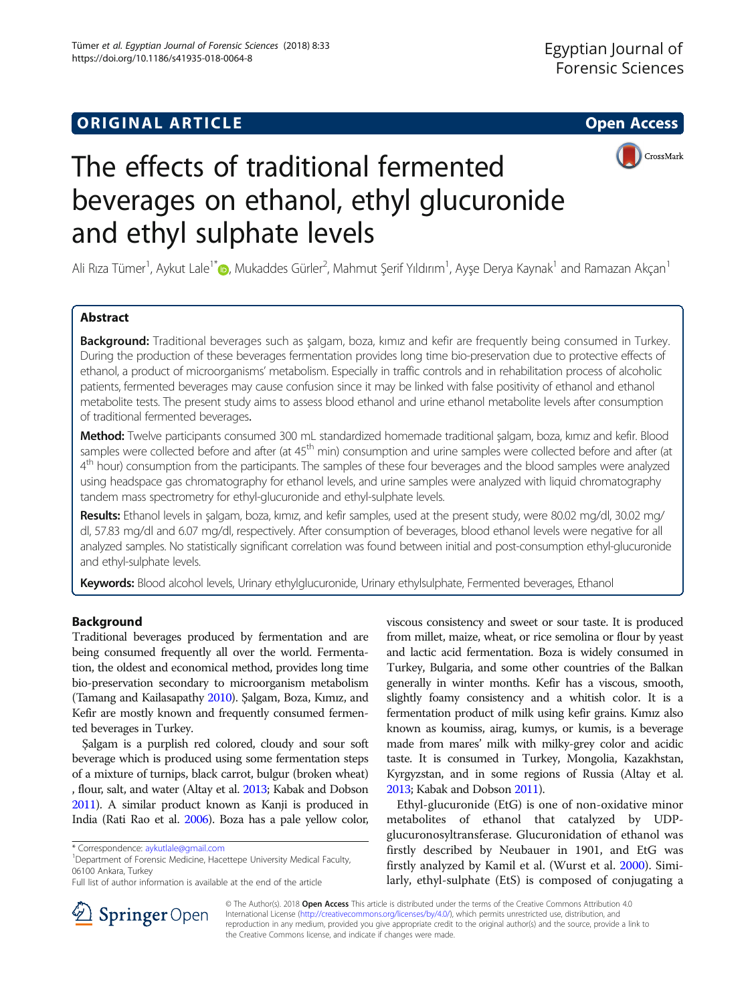## **ORIGINAL ARTICLE CONSERVERSITY OF ACCESS**



# The effects of traditional fermented beverages on ethanol, ethyl glucuronide and ethyl sulphate levels

Ali Rıza Tümer<sup>1</sup>, Aykut Lale<sup>1\*</sup>®, Mukaddes Gürler<sup>2</sup>, Mahmut Şerif Yıldırım<sup>1</sup>, Ayşe Derya Kaynak<sup>1</sup> and Ramazan Akçan<sup>1</sup>

## Abstract

Background: Traditional beverages such as salgam, boza, kimiz and kefir are frequently being consumed in Turkey. During the production of these beverages fermentation provides long time bio-preservation due to protective effects of ethanol, a product of microorganisms' metabolism. Especially in traffic controls and in rehabilitation process of alcoholic patients, fermented beverages may cause confusion since it may be linked with false positivity of ethanol and ethanol metabolite tests. The present study aims to assess blood ethanol and urine ethanol metabolite levels after consumption of traditional fermented beverages.

Method: Twelve participants consumed 300 mL standardized homemade traditional şalgam, boza, kımız and kefir. Blood samples were collected before and after (at 45<sup>th</sup> min) consumption and urine samples were collected before and after (at 4<sup>th</sup> hour) consumption from the participants. The samples of these four beverages and the blood samples were analyzed using headspace gas chromatography for ethanol levels, and urine samples were analyzed with liquid chromatography tandem mass spectrometry for ethyl-glucuronide and ethyl-sulphate levels.

Results: Ethanol levels in şalgam, boza, kımız, and kefir samples, used at the present study, were 80.02 mg/dl, 30.02 mg/ dl, 57.83 mg/dl and 6.07 mg/dl, respectively. After consumption of beverages, blood ethanol levels were negative for all analyzed samples. No statistically significant correlation was found between initial and post-consumption ethyl-glucuronide and ethyl-sulphate levels.

Keywords: Blood alcohol levels, Urinary ethylglucuronide, Urinary ethylsulphate, Fermented beverages, Ethanol

## Background

Traditional beverages produced by fermentation and are being consumed frequently all over the world. Fermentation, the oldest and economical method, provides long time bio-preservation secondary to microorganism metabolism (Tamang and Kailasapathy [2010\)](#page-4-0). Şalgam, Boza, Kımız, and Kefir are mostly known and frequently consumed fermented beverages in Turkey.

Şalgam is a purplish red colored, cloudy and sour soft beverage which is produced using some fermentation steps of a mixture of turnips, black carrot, bulgur (broken wheat) , flour, salt, and water (Altay et al. [2013](#page-4-0); Kabak and Dobson [2011\)](#page-4-0). A similar product known as Kanji is produced in India (Rati Rao et al. [2006](#page-4-0)). Boza has a pale yellow color,

<sup>1</sup>Department of Forensic Medicine, Hacettepe University Medical Faculty, 06100 Ankara, Turkey

viscous consistency and sweet or sour taste. It is produced from millet, maize, wheat, or rice semolina or flour by yeast and lactic acid fermentation. Boza is widely consumed in Turkey, Bulgaria, and some other countries of the Balkan generally in winter months. Kefir has a viscous, smooth, slightly foamy consistency and a whitish color. It is a fermentation product of milk using kefir grains. Kımız also known as koumiss, airag, kumys, or kumis, is a beverage made from mares' milk with milky-grey color and acidic taste. It is consumed in Turkey, Mongolia, Kazakhstan, Kyrgyzstan, and in some regions of Russia (Altay et al. [2013;](#page-4-0) Kabak and Dobson [2011](#page-4-0)).

Ethyl-glucuronide (EtG) is one of non-oxidative minor metabolites of ethanol that catalyzed by UDPglucuronosyltransferase. Glucuronidation of ethanol was firstly described by Neubauer in 1901, and EtG was firstly analyzed by Kamil et al. (Wurst et al. [2000](#page-4-0)). Similarly, ethyl-sulphate (EtS) is composed of conjugating a



© The Author(s). 2018 Open Access This article is distributed under the terms of the Creative Commons Attribution 4.0 International License ([http://creativecommons.org/licenses/by/4.0/\)](http://creativecommons.org/licenses/by/4.0/), which permits unrestricted use, distribution, and reproduction in any medium, provided you give appropriate credit to the original author(s) and the source, provide a link to the Creative Commons license, and indicate if changes were made.

<sup>\*</sup> Correspondence: [aykutlale@gmail.com](mailto:aykutlale@gmail.com) <sup>1</sup>

Full list of author information is available at the end of the article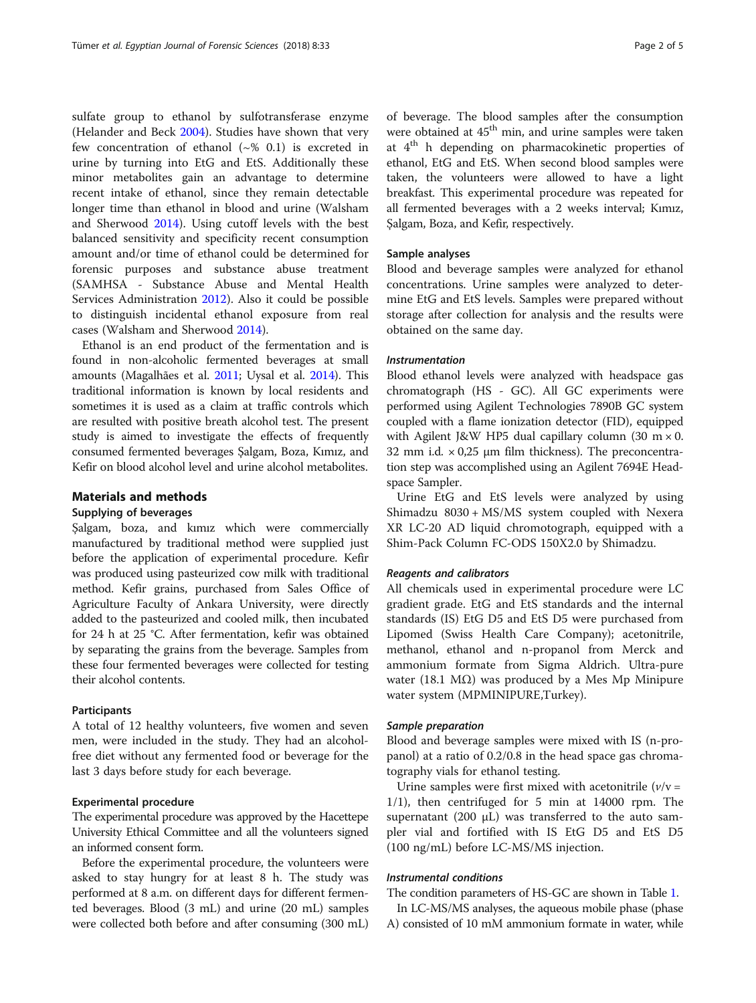sulfate group to ethanol by sulfotransferase enzyme (Helander and Beck [2004\)](#page-4-0). Studies have shown that very few concentration of ethanol  $({\sim}$ % 0.1) is excreted in urine by turning into EtG and EtS. Additionally these minor metabolites gain an advantage to determine recent intake of ethanol, since they remain detectable longer time than ethanol in blood and urine (Walsham and Sherwood [2014](#page-4-0)). Using cutoff levels with the best balanced sensitivity and specificity recent consumption amount and/or time of ethanol could be determined for forensic purposes and substance abuse treatment (SAMHSA - Substance Abuse and Mental Health Services Administration [2012\)](#page-4-0). Also it could be possible to distinguish incidental ethanol exposure from real cases (Walsham and Sherwood [2014](#page-4-0)).

Ethanol is an end product of the fermentation and is found in non-alcoholic fermented beverages at small amounts (Magalhães et al. [2011](#page-4-0); Uysal et al. [2014\)](#page-4-0). This traditional information is known by local residents and sometimes it is used as a claim at traffic controls which are resulted with positive breath alcohol test. The present study is aimed to investigate the effects of frequently consumed fermented beverages Şalgam, Boza, Kımız, and Kefir on blood alcohol level and urine alcohol metabolites.

## Materials and methods

## Supplying of beverages

Şalgam, boza, and kımız which were commercially manufactured by traditional method were supplied just before the application of experimental procedure. Kefir was produced using pasteurized cow milk with traditional method. Kefir grains, purchased from Sales Office of Agriculture Faculty of Ankara University, were directly added to the pasteurized and cooled milk, then incubated for 24 h at 25 °C. After fermentation, kefir was obtained by separating the grains from the beverage. Samples from these four fermented beverages were collected for testing their alcohol contents.

## Participants

A total of 12 healthy volunteers, five women and seven men, were included in the study. They had an alcoholfree diet without any fermented food or beverage for the last 3 days before study for each beverage.

#### Experimental procedure

The experimental procedure was approved by the Hacettepe University Ethical Committee and all the volunteers signed an informed consent form.

Before the experimental procedure, the volunteers were asked to stay hungry for at least 8 h. The study was performed at 8 a.m. on different days for different fermented beverages. Blood (3 mL) and urine (20 mL) samples were collected both before and after consuming (300 mL)

of beverage. The blood samples after the consumption were obtained at 45<sup>th</sup> min, and urine samples were taken at 4th h depending on pharmacokinetic properties of ethanol, EtG and EtS. When second blood samples were taken, the volunteers were allowed to have a light breakfast. This experimental procedure was repeated for all fermented beverages with a 2 weeks interval; Kımız, Şalgam, Boza, and Kefir, respectively.

#### Sample analyses

Blood and beverage samples were analyzed for ethanol concentrations. Urine samples were analyzed to determine EtG and EtS levels. Samples were prepared without storage after collection for analysis and the results were obtained on the same day.

#### Instrumentation

Blood ethanol levels were analyzed with headspace gas chromatograph (HS - GC). All GC experiments were performed using Agilent Technologies 7890B GC system coupled with a flame ionization detector (FID), equipped with Agilent J&W HP5 dual capillary column (30 m  $\times$  0. 32 mm i.d.  $\times$  0,25 µm film thickness). The preconcentration step was accomplished using an Agilent 7694E Headspace Sampler.

Urine EtG and EtS levels were analyzed by using Shimadzu 8030 + MS/MS system coupled with Nexera XR LC-20 AD liquid chromotograph, equipped with a Shim-Pack Column FC-ODS 150X2.0 by Shimadzu.

#### Reagents and calibrators

All chemicals used in experimental procedure were LC gradient grade. EtG and EtS standards and the internal standards (IS) EtG D5 and EtS D5 were purchased from Lipomed (Swiss Health Care Company); acetonitrile, methanol, ethanol and n-propanol from Merck and ammonium formate from Sigma Aldrich. Ultra-pure water (18.1 MΩ) was produced by a Mes Mp Minipure water system (MPMINIPURE,Turkey).

#### Sample preparation

Blood and beverage samples were mixed with IS (n-propanol) at a ratio of 0.2/0.8 in the head space gas chromatography vials for ethanol testing.

Urine samples were first mixed with acetonitrile  $(v/v =$ 1/1), then centrifuged for 5 min at 14000 rpm. The supernatant (200  $\mu$ L) was transferred to the auto sampler vial and fortified with IS EtG D5 and EtS D5 (100 ng/mL) before LC-MS/MS injection.

### Instrumental conditions

The condition parameters of HS-GC are shown in Table [1](#page-2-0).

In LC-MS/MS analyses, the aqueous mobile phase (phase A) consisted of 10 mM ammonium formate in water, while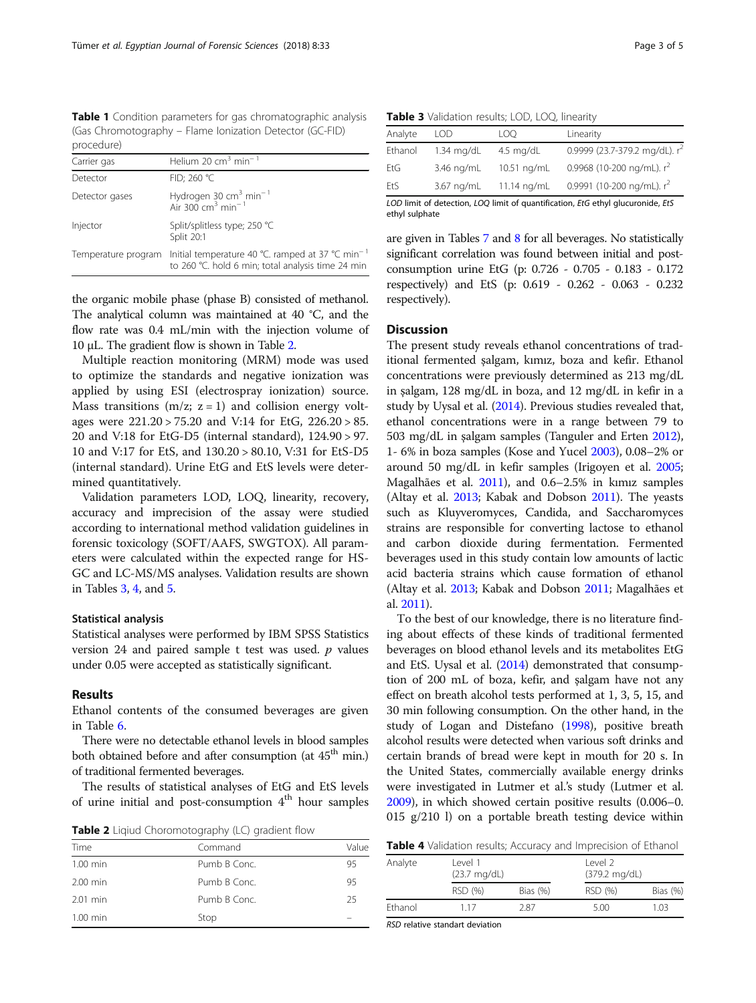<span id="page-2-0"></span>Table 1 Condition parameters for gas chromatographic analysis (Gas Chromotography – Flame Ionization Detector (GC-FID) procedure)

| Carrier gas         | Helium 20 $cm3$ min <sup>-1</sup>                                                                                 |
|---------------------|-------------------------------------------------------------------------------------------------------------------|
|                     |                                                                                                                   |
| Detector            | FID; 260 °C                                                                                                       |
| Detector gases      | Hydrogen 30 $\text{cm}^3$ min <sup>-1</sup><br>Air 300 $\text{cm}^3$ min <sup>-1</sup>                            |
| Injector            | Split/splitless type; 250 °C<br>Split 20:1                                                                        |
| Temperature program | Initial temperature 40 °C. ramped at 37 °C min <sup>-1</sup><br>to 260 °C. hold 6 min; total analysis time 24 min |

the organic mobile phase (phase B) consisted of methanol. The analytical column was maintained at 40 °C, and the flow rate was 0.4 mL/min with the injection volume of 10 μL. The gradient flow is shown in Table 2.

Multiple reaction monitoring (MRM) mode was used to optimize the standards and negative ionization was applied by using ESI (electrospray ionization) source. Mass transitions  $(m/z; z = 1)$  and collision energy voltages were 221.20 > 75.20 and V:14 for EtG, 226.20 > 85. 20 and V:18 for EtG-D5 (internal standard), 124.90 > 97. 10 and V:17 for EtS, and 130.20 > 80.10, V:31 for EtS-D5 (internal standard). Urine EtG and EtS levels were determined quantitatively.

Validation parameters LOD, LOQ, linearity, recovery, accuracy and imprecision of the assay were studied according to international method validation guidelines in forensic toxicology (SOFT/AAFS, SWGTOX). All parameters were calculated within the expected range for HS-GC and LC-MS/MS analyses. Validation results are shown in Tables 3, 4, and [5](#page-3-0).

#### Statistical analysis

Statistical analyses were performed by IBM SPSS Statistics version 24 and paired sample  $t$  test was used.  $p$  values under 0.05 were accepted as statistically significant.

#### Results

Ethanol contents of the consumed beverages are given in Table [6.](#page-3-0)

There were no detectable ethanol levels in blood samples both obtained before and after consumption (at 45<sup>th</sup> min.) of traditional fermented beverages.

The results of statistical analyses of EtG and EtS levels of urine initial and post-consumption 4<sup>th</sup> hour samples

Table 2 Liqiud Choromotography (LC) gradient flow

| Time       | Command      | Value |
|------------|--------------|-------|
| $1.00$ min | Pumb B Conc. | 95    |
| $2.00$ min | Pumb B Conc. | 95    |
| $2.01$ min | Pumb B Conc. | 25    |
| $1.00$ min | Stop         |       |

|  |  | Table 3 Validation results; LOD, LOQ, linearity |  |  |
|--|--|-------------------------------------------------|--|--|
|--|--|-------------------------------------------------|--|--|

| Analyte | LOD.       | LOO.        | Linearity                        |
|---------|------------|-------------|----------------------------------|
| Ethanol | 1.34 mg/dL | 4.5 $mq/dL$ | 0.9999 (23.7-379.2 mg/dL). $r^2$ |
| EtG     | 3.46 ng/mL | 10.51 ng/mL | 0.9968 (10-200 ng/mL). $r^2$     |
| EtS     | 3.67 ng/mL | 11.14 ng/mL | 0.9991 (10-200 ng/mL). $r^2$     |

LOD limit of detection, LOQ limit of quantification, EtG ethyl glucuronide, EtS ethyl sulphate

are given in Tables [7](#page-3-0) and [8](#page-3-0) for all beverages. No statistically significant correlation was found between initial and postconsumption urine EtG (p: 0.726 - 0.705 - 0.183 - 0.172 respectively) and EtS (p: 0.619 - 0.262 - 0.063 - 0.232 respectively).

## **Discussion**

The present study reveals ethanol concentrations of traditional fermented şalgam, kımız, boza and kefir. Ethanol concentrations were previously determined as 213 mg/dL in şalgam, 128 mg/dL in boza, and 12 mg/dL in kefir in a study by Uysal et al. [\(2014\)](#page-4-0). Previous studies revealed that, ethanol concentrations were in a range between 79 to 503 mg/dL in şalgam samples (Tanguler and Erten [2012](#page-4-0)), 1- 6% in boza samples (Kose and Yucel [2003](#page-4-0)), 0.08–2% or around 50 mg/dL in kefir samples (Irigoyen et al. [2005](#page-4-0); Magalhães et al. [2011\)](#page-4-0), and 0.6–2.5% in kımız samples (Altay et al. [2013;](#page-4-0) Kabak and Dobson [2011\)](#page-4-0). The yeasts such as Kluyveromyces, Candida, and Saccharomyces strains are responsible for converting lactose to ethanol and carbon dioxide during fermentation. Fermented beverages used in this study contain low amounts of lactic acid bacteria strains which cause formation of ethanol (Altay et al. [2013](#page-4-0); Kabak and Dobson [2011](#page-4-0); Magalhães et al. [2011](#page-4-0)).

To the best of our knowledge, there is no literature finding about effects of these kinds of traditional fermented beverages on blood ethanol levels and its metabolites EtG and EtS. Uysal et al. [\(2014\)](#page-4-0) demonstrated that consumption of 200 mL of boza, kefir, and şalgam have not any effect on breath alcohol tests performed at 1, 3, 5, 15, and 30 min following consumption. On the other hand, in the study of Logan and Distefano ([1998\)](#page-4-0), positive breath alcohol results were detected when various soft drinks and certain brands of bread were kept in mouth for 20 s. In the United States, commercially available energy drinks were investigated in Lutmer et al.'s study (Lutmer et al. [2009](#page-4-0)), in which showed certain positive results (0.006–0. 015 g/210 l) on a portable breath testing device within

| Analyte | level 1<br>$(23.7 \text{ mg/dL})$ |             | level 2<br>(379.2 mg/dL) |             |
|---------|-----------------------------------|-------------|--------------------------|-------------|
|         | RSD (%)                           | Bias $(\%)$ | RSD (%)                  | Bias $(\%)$ |
| Ethanol | 1 1 7                             | 2.87        | 5.00                     | 1.03        |

RSD relative standart deviation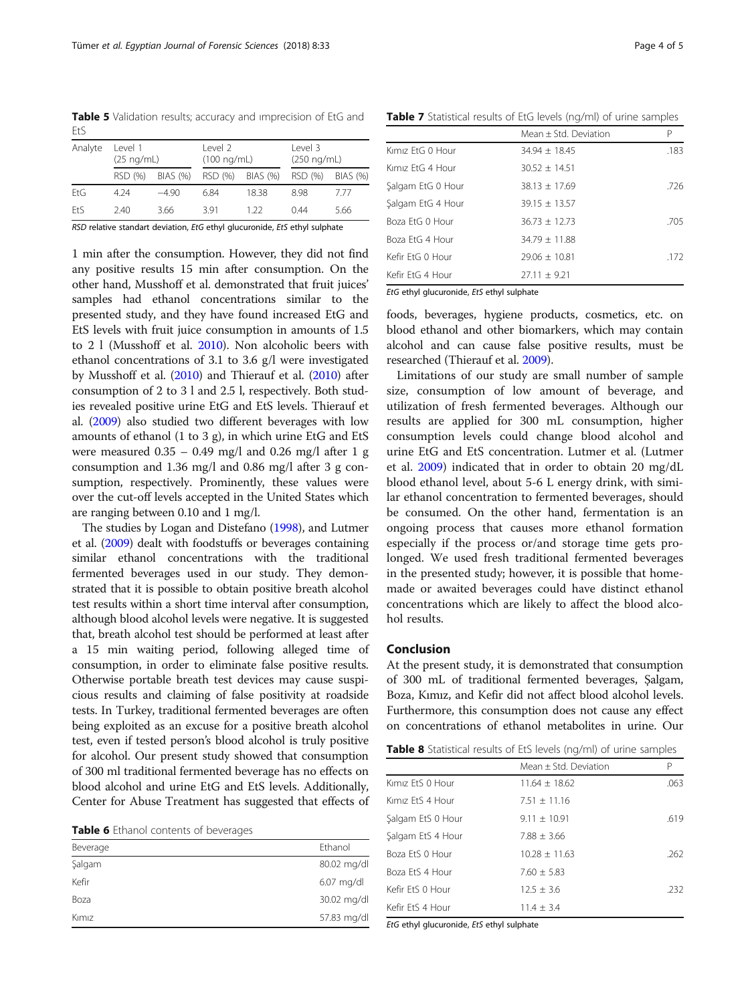<span id="page-3-0"></span>Table 5 Validation results; accuracy and imprecision of EtG and  $F<sub>+</sub>$ 

| Analyte    | Level 1 | $(25 \nmid mL)$ |         | Level 2<br>$(100 \ nq/mL)$ |         | Level 3<br>(250 nq/mL) |  |
|------------|---------|-----------------|---------|----------------------------|---------|------------------------|--|
|            | RSD (%) | BIAS (%)        | RSD (%) | BIAS (%)                   | RSD (%) | BIAS (%)               |  |
| FtG        | 4 2 4   | $-490$          | 6.84    | 1838                       | 898     | 777                    |  |
| <b>FtS</b> | 240     | 3.66            | 391     | 1 22                       | 0.44    | 5.66                   |  |
| - - -      |         | .               |         |                            |         |                        |  |

RSD relative standart deviation, EtG ethyl glucuronide, EtS ethyl sulphate

1 min after the consumption. However, they did not find any positive results 15 min after consumption. On the other hand, Musshoff et al. demonstrated that fruit juices' samples had ethanol concentrations similar to the presented study, and they have found increased EtG and EtS levels with fruit juice consumption in amounts of 1.5 to 2 l (Musshoff et al. [2010](#page-4-0)). Non alcoholic beers with ethanol concentrations of 3.1 to 3.6 g/l were investigated by Musshoff et al. [\(2010\)](#page-4-0) and Thierauf et al. [\(2010\)](#page-4-0) after consumption of 2 to 3 l and 2.5 l, respectively. Both studies revealed positive urine EtG and EtS levels. Thierauf et al. [\(2009](#page-4-0)) also studied two different beverages with low amounts of ethanol (1 to 3 g), in which urine EtG and EtS were measured  $0.35 - 0.49$  mg/l and  $0.26$  mg/l after 1 g consumption and 1.36 mg/l and 0.86 mg/l after 3 g consumption, respectively. Prominently, these values were over the cut-off levels accepted in the United States which are ranging between 0.10 and 1 mg/l.

The studies by Logan and Distefano ([1998\)](#page-4-0), and Lutmer et al. ([2009\)](#page-4-0) dealt with foodstuffs or beverages containing similar ethanol concentrations with the traditional fermented beverages used in our study. They demonstrated that it is possible to obtain positive breath alcohol test results within a short time interval after consumption, although blood alcohol levels were negative. It is suggested that, breath alcohol test should be performed at least after a 15 min waiting period, following alleged time of consumption, in order to eliminate false positive results. Otherwise portable breath test devices may cause suspicious results and claiming of false positivity at roadside tests. In Turkey, traditional fermented beverages are often being exploited as an excuse for a positive breath alcohol test, even if tested person's blood alcohol is truly positive for alcohol. Our present study showed that consumption of 300 ml traditional fermented beverage has no effects on blood alcohol and urine EtG and EtS levels. Additionally, Center for Abuse Treatment has suggested that effects of

| Table 6 Ethanol contents of beverages |
|---------------------------------------|
|---------------------------------------|

| Beverage | Ethanol     |
|----------|-------------|
| Şalgam   | 80.02 mg/dl |
| Kefir    | 6.07 mg/dl  |
| Boza     | 30.02 mg/dl |
| Kimiz    | 57.83 mg/dl |

Table 7 Statistical results of EtG levels (ng/ml) of urine samples

|                   | Mean + Std. Deviation | Ρ    |
|-------------------|-----------------------|------|
| Kimiz FtG 0 Hour  | $34.94 + 18.45$       | .183 |
| Kimiz FtG 4 Hour  | $30.52 + 14.51$       |      |
| Salgam EtG 0 Hour | $38.13 + 17.69$       | .726 |
| Salgam EtG 4 Hour | $39.15 \pm 13.57$     |      |
| Boza EtG 0 Hour   | $36.73 + 12.73$       | .705 |
| Boza EtG 4 Hour   | $34.79 + 11.88$       |      |
| Kefir FtG 0 Hour  | $29.06 + 10.81$       | .172 |
| Kefir FtG 4 Hour  | $27.11 + 9.21$        |      |

EtG ethyl glucuronide, EtS ethyl sulphate

foods, beverages, hygiene products, cosmetics, etc. on blood ethanol and other biomarkers, which may contain alcohol and can cause false positive results, must be researched (Thierauf et al. [2009\)](#page-4-0).

Limitations of our study are small number of sample size, consumption of low amount of beverage, and utilization of fresh fermented beverages. Although our results are applied for 300 mL consumption, higher consumption levels could change blood alcohol and urine EtG and EtS concentration. Lutmer et al. (Lutmer et al. [2009\)](#page-4-0) indicated that in order to obtain 20 mg/dL blood ethanol level, about 5-6 L energy drink, with similar ethanol concentration to fermented beverages, should be consumed. On the other hand, fermentation is an ongoing process that causes more ethanol formation especially if the process or/and storage time gets prolonged. We used fresh traditional fermented beverages in the presented study; however, it is possible that homemade or awaited beverages could have distinct ethanol concentrations which are likely to affect the blood alcohol results.

#### Conclusion

At the present study, it is demonstrated that consumption of 300 mL of traditional fermented beverages, Şalgam, Boza, Kımız, and Kefir did not affect blood alcohol levels. Furthermore, this consumption does not cause any effect on concentrations of ethanol metabolites in urine. Our

| Table 8 Statistical results of EtS levels (ng/ml) of urine samples |  |
|--------------------------------------------------------------------|--|
|--------------------------------------------------------------------|--|

|                   | Mean $\pm$ Std. Deviation | P    |
|-------------------|---------------------------|------|
| Kimiz EtS 0 Hour  | $11.64 + 18.62$           | .063 |
| Kimiz FtS 4 Hour  | $7.51 \pm 11.16$          |      |
| Salgam EtS 0 Hour | $9.11 \pm 10.91$          | .619 |
| Salgam EtS 4 Hour | $7.88 \pm 3.66$           |      |
| Boza EtS 0 Hour   | $10.28 + 11.63$           | .262 |
| Boza EtS 4 Hour   | $7.60 + 5.83$             |      |
| Kefir FtS 0 Hour  | $12.5 \pm 3.6$            | .232 |
| Kefir FtS 4 Hour  | $11.4 \pm 3.4$            |      |
|                   |                           |      |

EtG ethyl glucuronide, EtS ethyl sulphate